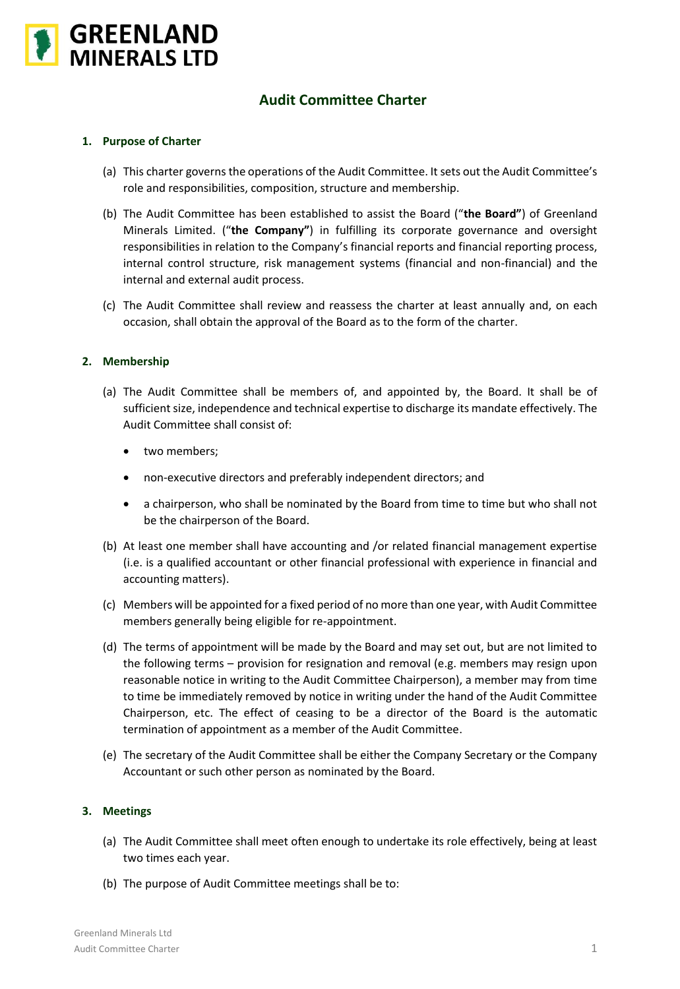

# **Audit Committee Charter**

## **1. Purpose of Charter**

- (a) This charter governs the operations of the Audit Committee. It sets out the Audit Committee's role and responsibilities, composition, structure and membership.
- (b) The Audit Committee has been established to assist the Board ("**the Board"**) of Greenland Minerals Limited. ("**the Company"**) in fulfilling its corporate governance and oversight responsibilities in relation to the Company's financial reports and financial reporting process, internal control structure, risk management systems (financial and non-financial) and the internal and external audit process.
- (c) The Audit Committee shall review and reassess the charter at least annually and, on each occasion, shall obtain the approval of the Board as to the form of the charter.

#### **2. Membership**

- (a) The Audit Committee shall be members of, and appointed by, the Board. It shall be of sufficient size, independence and technical expertise to discharge its mandate effectively. The Audit Committee shall consist of:
	- two members;
	- non-executive directors and preferably independent directors; and
	- a chairperson, who shall be nominated by the Board from time to time but who shall not be the chairperson of the Board.
- (b) At least one member shall have accounting and /or related financial management expertise (i.e. is a qualified accountant or other financial professional with experience in financial and accounting matters).
- (c) Members will be appointed for a fixed period of no more than one year, with Audit Committee members generally being eligible for re-appointment.
- (d) The terms of appointment will be made by the Board and may set out, but are not limited to the following terms – provision for resignation and removal (e.g. members may resign upon reasonable notice in writing to the Audit Committee Chairperson), a member may from time to time be immediately removed by notice in writing under the hand of the Audit Committee Chairperson, etc. The effect of ceasing to be a director of the Board is the automatic termination of appointment as a member of the Audit Committee.
- (e) The secretary of the Audit Committee shall be either the Company Secretary or the Company Accountant or such other person as nominated by the Board.

#### **3. Meetings**

- (a) The Audit Committee shall meet often enough to undertake its role effectively, being at least two times each year.
- (b) The purpose of Audit Committee meetings shall be to: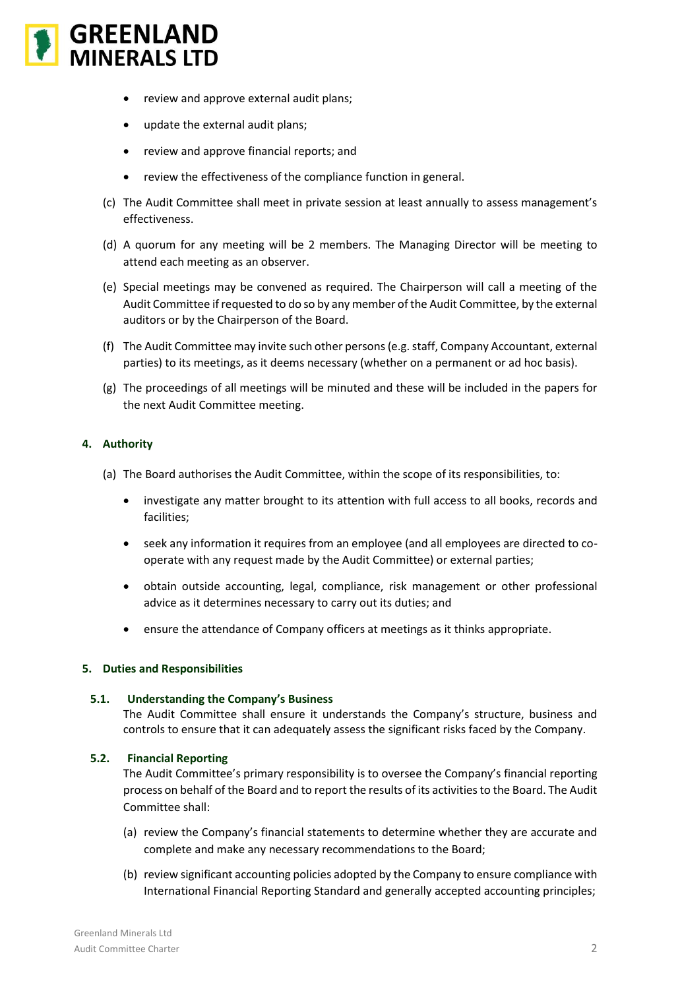

- review and approve external audit plans;
- update the external audit plans;
- review and approve financial reports; and
- review the effectiveness of the compliance function in general.
- (c) The Audit Committee shall meet in private session at least annually to assess management's effectiveness.
- (d) A quorum for any meeting will be 2 members. The Managing Director will be meeting to attend each meeting as an observer.
- (e) Special meetings may be convened as required. The Chairperson will call a meeting of the Audit Committee if requested to do so by any member of the Audit Committee, by the external auditors or by the Chairperson of the Board.
- (f) The Audit Committee may invite such other persons (e.g. staff, Company Accountant, external parties) to its meetings, as it deems necessary (whether on a permanent or ad hoc basis).
- (g) The proceedings of all meetings will be minuted and these will be included in the papers for the next Audit Committee meeting.

# **4. Authority**

- (a) The Board authorises the Audit Committee, within the scope of its responsibilities, to:
	- investigate any matter brought to its attention with full access to all books, records and facilities;
	- seek any information it requires from an employee (and all employees are directed to cooperate with any request made by the Audit Committee) or external parties;
	- obtain outside accounting, legal, compliance, risk management or other professional advice as it determines necessary to carry out its duties; and
	- ensure the attendance of Company officers at meetings as it thinks appropriate.

## **5. Duties and Responsibilities**

## **5.1. Understanding the Company's Business**

The Audit Committee shall ensure it understands the Company's structure, business and controls to ensure that it can adequately assess the significant risks faced by the Company.

## **5.2. Financial Reporting**

The Audit Committee's primary responsibility is to oversee the Company's financial reporting process on behalf of the Board and to report the results of its activities to the Board. The Audit Committee shall:

- (a) review the Company's financial statements to determine whether they are accurate and complete and make any necessary recommendations to the Board;
- (b) review significant accounting policies adopted by the Company to ensure compliance with International Financial Reporting Standard and generally accepted accounting principles;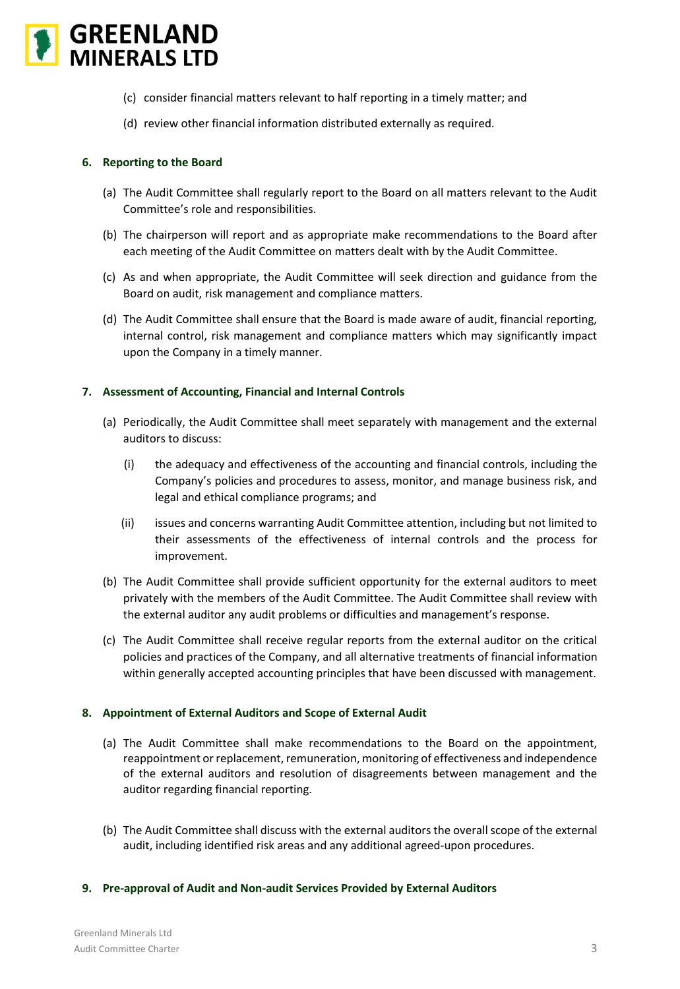

- (c) consider financial matters relevant to half reporting in a timely matter; and
- (d) review other financial information distributed externally as required.

# **6. Reporting to the Board**

- (a) The Audit Committee shall regularly report to the Board on all matters relevant to the Audit Committee's role and responsibilities.
- (b) The chairperson will report and as appropriate make recommendations to the Board after each meeting of the Audit Committee on matters dealt with by the Audit Committee.
- (c) As and when appropriate, the Audit Committee will seek direction and guidance from the Board on audit, risk management and compliance matters.
- (d) The Audit Committee shall ensure that the Board is made aware of audit, financial reporting, internal control, risk management and compliance matters which may significantly impact upon the Company in a timely manner.

## **7. Assessment of Accounting, Financial and Internal Controls**

- (a) Periodically, the Audit Committee shall meet separately with management and the external auditors to discuss:
	- (i) the adequacy and effectiveness of the accounting and financial controls, including the Company's policies and procedures to assess, monitor, and manage business risk, and legal and ethical compliance programs; and
	- (ii) issues and concerns warranting Audit Committee attention, including but not limited to their assessments of the effectiveness of internal controls and the process for improvement.
- (b) The Audit Committee shall provide sufficient opportunity for the external auditors to meet privately with the members of the Audit Committee. The Audit Committee shall review with the external auditor any audit problems or difficulties and management's response.
- (c) The Audit Committee shall receive regular reports from the external auditor on the critical policies and practices of the Company, and all alternative treatments of financial information within generally accepted accounting principles that have been discussed with management.

## **8. Appointment of External Auditors and Scope of External Audit**

- (a) The Audit Committee shall make recommendations to the Board on the appointment, reappointment or replacement, remuneration, monitoring of effectiveness and independence of the external auditors and resolution of disagreements between management and the auditor regarding financial reporting.
- (b) The Audit Committee shall discuss with the external auditors the overall scope of the external audit, including identified risk areas and any additional agreed-upon procedures.

## **9. Pre-approval of Audit and Non-audit Services Provided by External Auditors**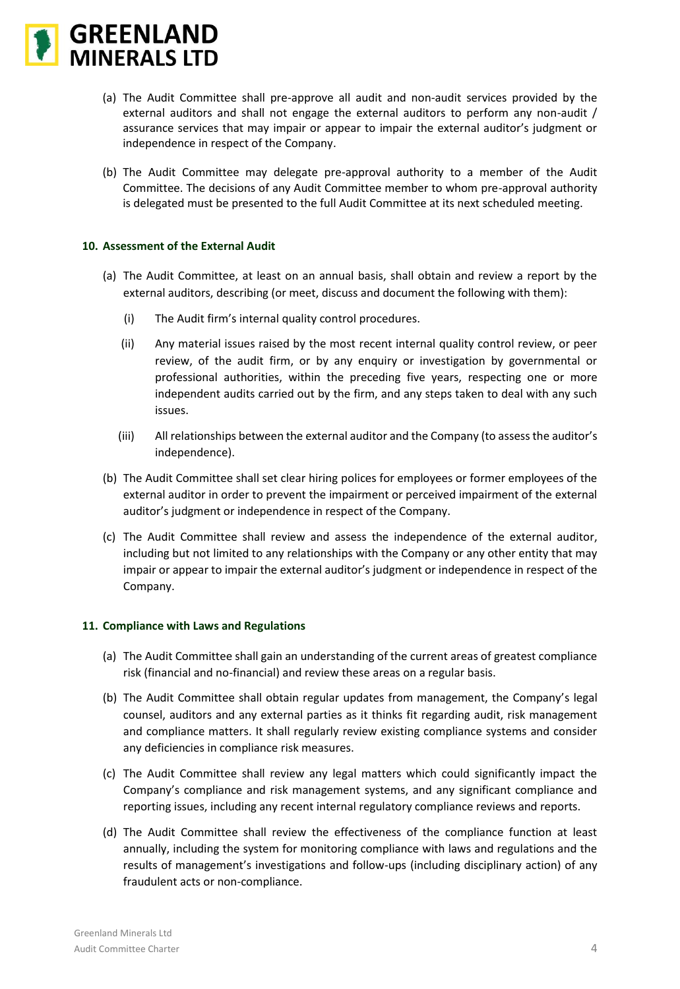

- (a) The Audit Committee shall pre-approve all audit and non-audit services provided by the external auditors and shall not engage the external auditors to perform any non-audit / assurance services that may impair or appear to impair the external auditor's judgment or independence in respect of the Company.
- (b) The Audit Committee may delegate pre-approval authority to a member of the Audit Committee. The decisions of any Audit Committee member to whom pre-approval authority is delegated must be presented to the full Audit Committee at its next scheduled meeting.

#### **10. Assessment of the External Audit**

- (a) The Audit Committee, at least on an annual basis, shall obtain and review a report by the external auditors, describing (or meet, discuss and document the following with them):
	- (i) The Audit firm's internal quality control procedures.
	- (ii) Any material issues raised by the most recent internal quality control review, or peer review, of the audit firm, or by any enquiry or investigation by governmental or professional authorities, within the preceding five years, respecting one or more independent audits carried out by the firm, and any steps taken to deal with any such issues.
	- (iii) All relationships between the external auditor and the Company (to assess the auditor's independence).
- (b) The Audit Committee shall set clear hiring polices for employees or former employees of the external auditor in order to prevent the impairment or perceived impairment of the external auditor's judgment or independence in respect of the Company.
- (c) The Audit Committee shall review and assess the independence of the external auditor, including but not limited to any relationships with the Company or any other entity that may impair or appear to impair the external auditor's judgment or independence in respect of the Company.

#### **11. Compliance with Laws and Regulations**

- (a) The Audit Committee shall gain an understanding of the current areas of greatest compliance risk (financial and no-financial) and review these areas on a regular basis.
- (b) The Audit Committee shall obtain regular updates from management, the Company's legal counsel, auditors and any external parties as it thinks fit regarding audit, risk management and compliance matters. It shall regularly review existing compliance systems and consider any deficiencies in compliance risk measures.
- (c) The Audit Committee shall review any legal matters which could significantly impact the Company's compliance and risk management systems, and any significant compliance and reporting issues, including any recent internal regulatory compliance reviews and reports.
- (d) The Audit Committee shall review the effectiveness of the compliance function at least annually, including the system for monitoring compliance with laws and regulations and the results of management's investigations and follow-ups (including disciplinary action) of any fraudulent acts or non-compliance.